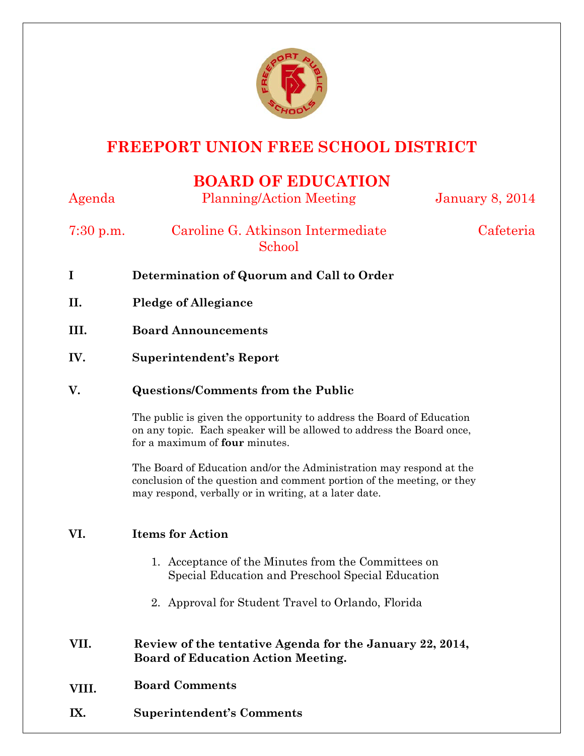

# **FREEPORT UNION FREE SCHOOL DISTRICT**

## **BOARD OF EDUCATION**

| Agenda      | <b>Planning/Action Meeting</b>                                                                                                                                                                                                                                                                                                                                                                                                          | <b>January 8, 2014</b> |
|-------------|-----------------------------------------------------------------------------------------------------------------------------------------------------------------------------------------------------------------------------------------------------------------------------------------------------------------------------------------------------------------------------------------------------------------------------------------|------------------------|
| $7:30$ p.m. | Caroline G. Atkinson Intermediate<br>School                                                                                                                                                                                                                                                                                                                                                                                             | Cafeteria              |
| $\bf{I}$    | Determination of Quorum and Call to Order                                                                                                                                                                                                                                                                                                                                                                                               |                        |
| П.          | <b>Pledge of Allegiance</b>                                                                                                                                                                                                                                                                                                                                                                                                             |                        |
| III.        | <b>Board Announcements</b>                                                                                                                                                                                                                                                                                                                                                                                                              |                        |
| IV.         | <b>Superintendent's Report</b>                                                                                                                                                                                                                                                                                                                                                                                                          |                        |
| V.          | <b>Questions/Comments from the Public</b><br>The public is given the opportunity to address the Board of Education<br>on any topic. Each speaker will be allowed to address the Board once,<br>for a maximum of four minutes.<br>The Board of Education and/or the Administration may respond at the<br>conclusion of the question and comment portion of the meeting, or they<br>may respond, verbally or in writing, at a later date. |                        |
|             |                                                                                                                                                                                                                                                                                                                                                                                                                                         |                        |
|             |                                                                                                                                                                                                                                                                                                                                                                                                                                         |                        |
| VI.         | <b>Items for Action</b>                                                                                                                                                                                                                                                                                                                                                                                                                 |                        |
|             | 1. Acceptance of the Minutes from the Committees on<br>Special Education and Preschool Special Education                                                                                                                                                                                                                                                                                                                                |                        |
|             | 2. Approval for Student Travel to Orlando, Florida                                                                                                                                                                                                                                                                                                                                                                                      |                        |
| VII.        | Review of the tentative Agenda for the January 22, 2014,<br><b>Board of Education Action Meeting.</b>                                                                                                                                                                                                                                                                                                                                   |                        |
| VIII.       | <b>Board Comments</b>                                                                                                                                                                                                                                                                                                                                                                                                                   |                        |
| IX.         | <b>Superintendent's Comments</b>                                                                                                                                                                                                                                                                                                                                                                                                        |                        |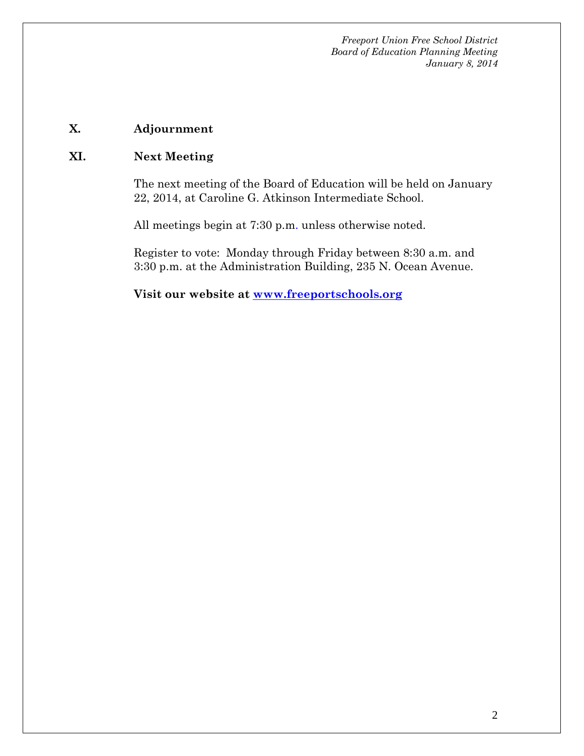*Freeport Union Free School District Board of Education Planning Meeting January 8, 2014*

### **X. Adjournment**

#### **XI. Next Meeting**

The next meeting of the Board of Education will be held on January 22, 2014, at Caroline G. Atkinson Intermediate School.

All meetings begin at 7:30 p.m. unless otherwise noted.

Register to vote: Monday through Friday between 8:30 a.m. and 3:30 p.m. at the Administration Building, 235 N. Ocean Avenue.

**Visit our website at [www.freeportschools.org](http://www.freeportschools.org/)**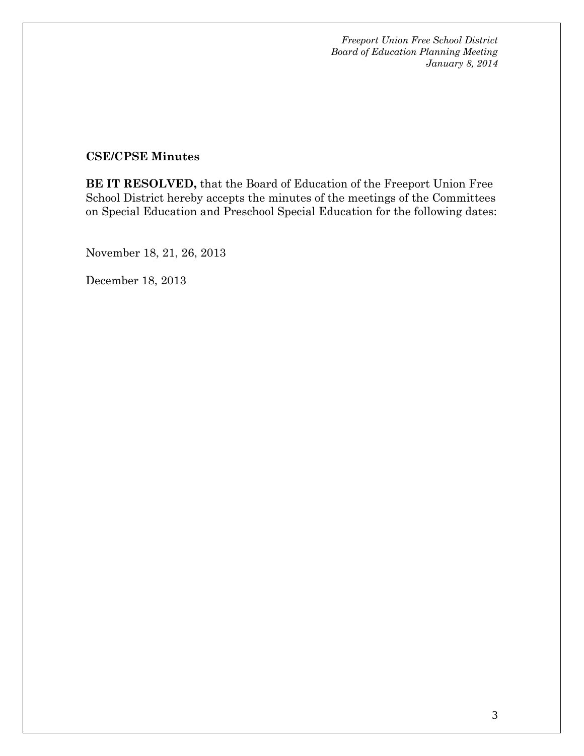*Freeport Union Free School District Board of Education Planning Meeting January 8, 2014*

#### **CSE/CPSE Minutes**

**BE IT RESOLVED,** that the Board of Education of the Freeport Union Free School District hereby accepts the minutes of the meetings of the Committees on Special Education and Preschool Special Education for the following dates:

November 18, 21, 26, 2013

December 18, 2013